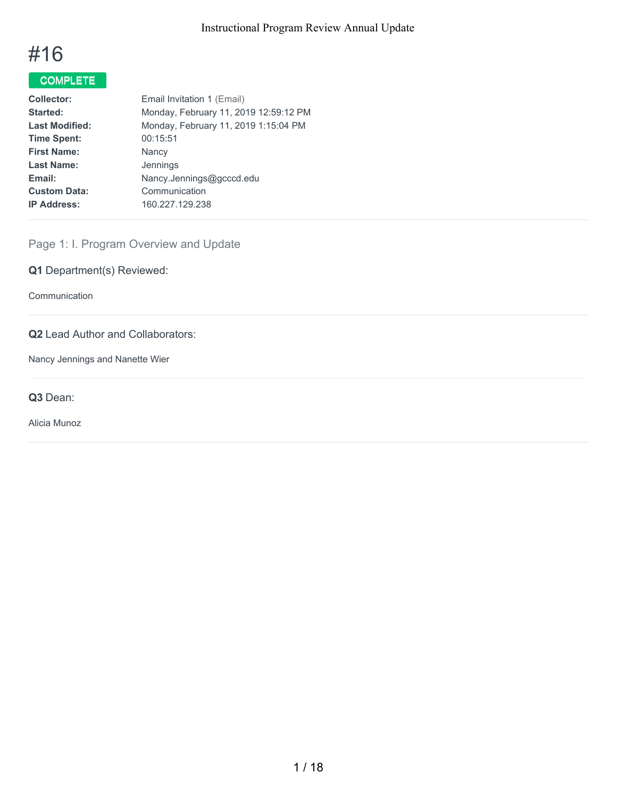# #16

# COMPLETE

| <b>Collector:</b>     | Email Invitation 1 (Email)            |
|-----------------------|---------------------------------------|
| Started:              | Monday, February 11, 2019 12:59:12 PM |
| <b>Last Modified:</b> | Monday, February 11, 2019 1:15:04 PM  |
| <b>Time Spent:</b>    | 00:15:51                              |
| <b>First Name:</b>    | Nancy                                 |
| <b>Last Name:</b>     | Jennings                              |
| Email:                | Nancy.Jennings@gcccd.edu              |
| <b>Custom Data:</b>   | Communication                         |
| <b>IP Address:</b>    | 160.227.129.238                       |
|                       |                                       |

# Page 1: I. Program Overview and Update

**Q1** Department(s) Reviewed:

Communication

### **Q2** Lead Author and Collaborators:

Nancy Jennings and Nanette Wier

**Q3** Dean:

Alicia Munoz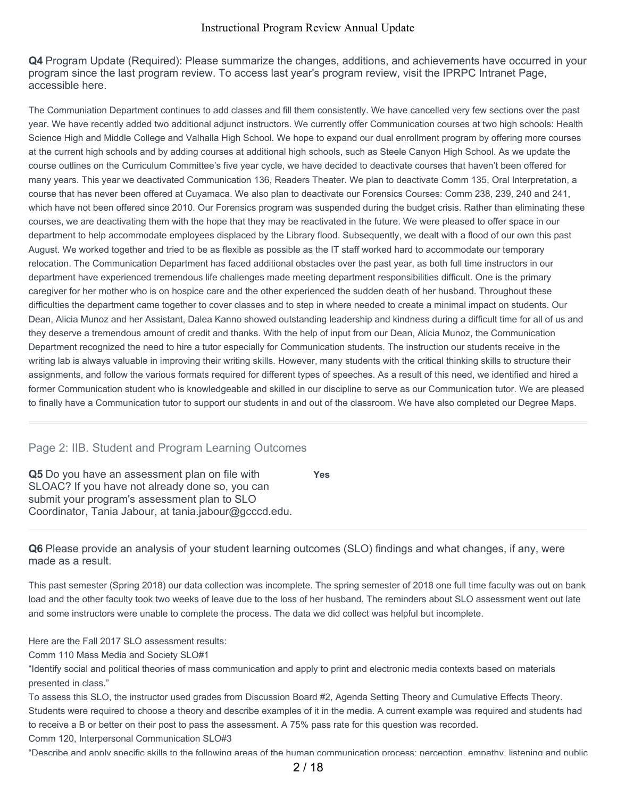**Q4** Program Update (Required): Please summarize the changes, additions, and achievements have occurred in your program since the last program review. To access last year's program review, visit the IPRPC Intranet Page, accessible here.

The Communiation Department continues to add classes and fill them consistently. We have cancelled very few sections over the past year. We have recently added two additional adjunct instructors. We currently offer Communication courses at two high schools: Health Science High and Middle College and Valhalla High School. We hope to expand our dual enrollment program by offering more courses at the current high schools and by adding courses at additional high schools, such as Steele Canyon High School. As we update the course outlines on the Curriculum Committee's five year cycle, we have decided to deactivate courses that haven't been offered for many years. This year we deactivated Communication 136, Readers Theater. We plan to deactivate Comm 135, Oral Interpretation, a course that has never been offered at Cuyamaca. We also plan to deactivate our Forensics Courses: Comm 238, 239, 240 and 241, which have not been offered since 2010. Our Forensics program was suspended during the budget crisis. Rather than eliminating these courses, we are deactivating them with the hope that they may be reactivated in the future. We were pleased to offer space in our department to help accommodate employees displaced by the Library flood. Subsequently, we dealt with a flood of our own this past August. We worked together and tried to be as flexible as possible as the IT staff worked hard to accommodate our temporary relocation. The Communication Department has faced additional obstacles over the past year, as both full time instructors in our department have experienced tremendous life challenges made meeting department responsibilities difficult. One is the primary caregiver for her mother who is on hospice care and the other experienced the sudden death of her husband. Throughout these difficulties the department came together to cover classes and to step in where needed to create a minimal impact on students. Our Dean, Alicia Munoz and her Assistant, Dalea Kanno showed outstanding leadership and kindness during a difficult time for all of us and they deserve a tremendous amount of credit and thanks. With the help of input from our Dean, Alicia Munoz, the Communication Department recognized the need to hire a tutor especially for Communication students. The instruction our students receive in the writing lab is always valuable in improving their writing skills. However, many students with the critical thinking skills to structure their assignments, and follow the various formats required for different types of speeches. As a result of this need, we identified and hired a former Communication student who is knowledgeable and skilled in our discipline to serve as our Communication tutor. We are pleased to finally have a Communication tutor to support our students in and out of the classroom. We have also completed our Degree Maps.

#### Page 2: IIB. Student and Program Learning Outcomes

**Q5** Do you have an assessment plan on file with SLOAC? If you have not already done so, you can submit your program's assessment plan to SLO Coordinator, Tania Jabour, at tania.jabour@gcccd.edu. **Yes**

**Q6** Please provide an analysis of your student learning outcomes (SLO) findings and what changes, if any, were made as a result.

This past semester (Spring 2018) our data collection was incomplete. The spring semester of 2018 one full time faculty was out on bank load and the other faculty took two weeks of leave due to the loss of her husband. The reminders about SLO assessment went out late and some instructors were unable to complete the process. The data we did collect was helpful but incomplete.

Here are the Fall 2017 SLO assessment results:

Comm 110 Mass Media and Society SLO#1

"Identify social and political theories of mass communication and apply to print and electronic media contexts based on materials presented in class."

To assess this SLO, the instructor used grades from Discussion Board #2, Agenda Setting Theory and Cumulative Effects Theory. Students were required to choose a theory and describe examples of it in the media. A current example was required and students had to receive a B or better on their post to pass the assessment. A 75% pass rate for this question was recorded.

Comm 120, Interpersonal Communication SLO#3

"Describe and apply specific skills to the following areas of the human communication process: perception, empathy, listening and public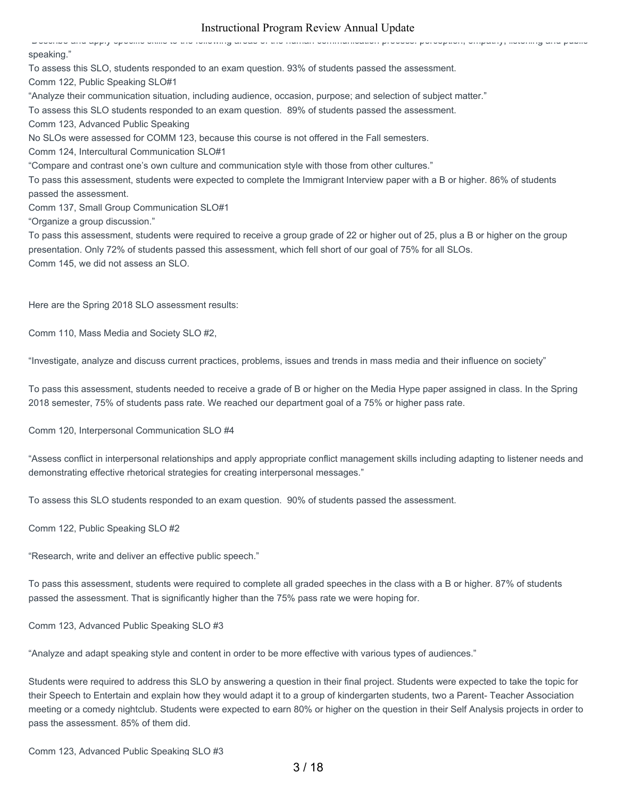"Describe and apply specific skills to the following areas of the human communication process: perception, empathy, listening and public speaking." To assess this SLO, students responded to an exam question. 93% of students passed the assessment. Comm 122, Public Speaking SLO#1 "Analyze their communication situation, including audience, occasion, purpose; and selection of subject matter." To assess this SLO students responded to an exam question. 89% of students passed the assessment. Comm 123, Advanced Public Speaking No SLOs were assessed for COMM 123, because this course is not offered in the Fall semesters. Comm 124, Intercultural Communication SLO#1 "Compare and contrast one's own culture and communication style with those from other cultures." To pass this assessment, students were expected to complete the Immigrant Interview paper with a B or higher. 86% of students passed the assessment. Comm 137, Small Group Communication SLO#1 "Organize a group discussion." To pass this assessment, students were required to receive a group grade of 22 or higher out of 25, plus a B or higher on the group presentation. Only 72% of students passed this assessment, which fell short of our goal of 75% for all SLOs.

Comm 145, we did not assess an SLO.

Here are the Spring 2018 SLO assessment results:

Comm 110, Mass Media and Society SLO #2,

"Investigate, analyze and discuss current practices, problems, issues and trends in mass media and their influence on society"

To pass this assessment, students needed to receive a grade of B or higher on the Media Hype paper assigned in class. In the Spring 2018 semester, 75% of students pass rate. We reached our department goal of a 75% or higher pass rate.

Comm 120, Interpersonal Communication SLO #4

"Assess conflict in interpersonal relationships and apply appropriate conflict management skills including adapting to listener needs and demonstrating effective rhetorical strategies for creating interpersonal messages."

To assess this SLO students responded to an exam question. 90% of students passed the assessment.

Comm 122, Public Speaking SLO #2

"Research, write and deliver an effective public speech."

To pass this assessment, students were required to complete all graded speeches in the class with a B or higher. 87% of students passed the assessment. That is significantly higher than the 75% pass rate we were hoping for.

Comm 123, Advanced Public Speaking SLO #3

"Analyze and adapt speaking style and content in order to be more effective with various types of audiences."

Students were required to address this SLO by answering a question in their final project. Students were expected to take the topic for their Speech to Entertain and explain how they would adapt it to a group of kindergarten students, two a Parent- Teacher Association meeting or a comedy nightclub. Students were expected to earn 80% or higher on the question in their Self Analysis projects in order to pass the assessment. 85% of them did.

Comm 123, Advanced Public Speaking SLO #3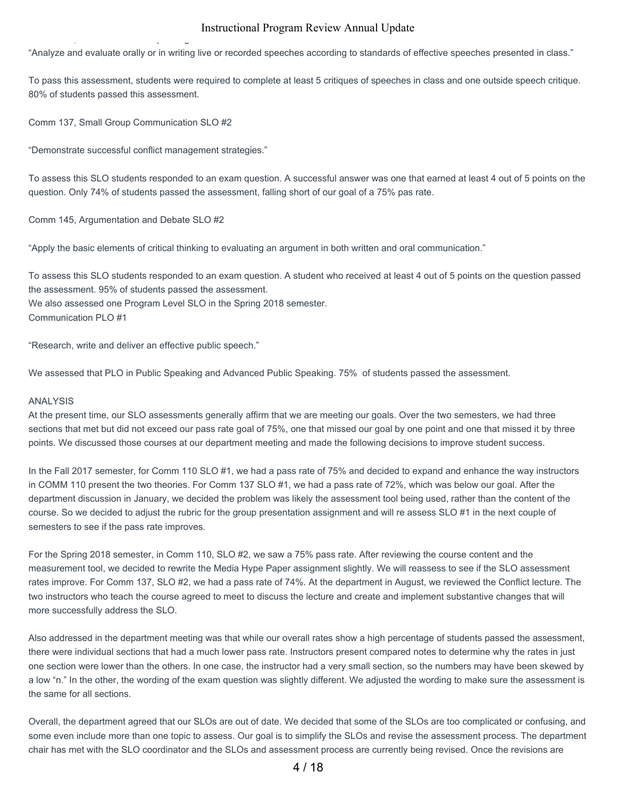"Analyze and evaluate orally or in writing live or recorded speeches according to standards of effective speeches presented in class."

To pass this assessment, students were required to complete at least 5 critiques of speeches in class and one outside speech critique. 80% of students passed this assessment.

Comm 137, Small Group Communication SLO #2

Comm 123, Advanced Public Speaking SLO #3

"Demonstrate successful conflict management strategies."

To assess this SLO students responded to an exam question. A successful answer was one that earned at least 4 out of 5 points on the question. Only 74% of students passed the assessment, falling short of our goal of a 75% pas rate.

Comm 145, Argumentation and Debate SLO #2

"Apply the basic elements of critical thinking to evaluating an argument in both written and oral communication."

To assess this SLO students responded to an exam question. A student who received at least 4 out of 5 points on the question passed the assessment. 95% of students passed the assessment. We also assessed one Program Level SLO in the Spring 2018 semester. Communication PLO #1

"Research, write and deliver an effective public speech."

We assessed that PLO in Public Speaking and Advanced Public Speaking. 75% of students passed the assessment.

#### ANALYSIS

At the present time, our SLO assessments generally affirm that we are meeting our goals. Over the two semesters, we had three sections that met but did not exceed our pass rate goal of 75%, one that missed our goal by one point and one that missed it by three points. We discussed those courses at our department meeting and made the following decisions to improve student success.

In the Fall 2017 semester, for Comm 110 SLO #1, we had a pass rate of 75% and decided to expand and enhance the way instructors in COMM 110 present the two theories. For Comm 137 SLO #1, we had a pass rate of 72%, which was below our goal. After the department discussion in January, we decided the problem was likely the assessment tool being used, rather than the content of the course. So we decided to adjust the rubric for the group presentation assignment and will re assess SLO #1 in the next couple of semesters to see if the pass rate improves.

For the Spring 2018 semester, in Comm 110, SLO #2, we saw a 75% pass rate. After reviewing the course content and the measurement tool, we decided to rewrite the Media Hype Paper assignment slightly. We will reassess to see if the SLO assessment rates improve. For Comm 137, SLO #2, we had a pass rate of 74%. At the department in August, we reviewed the Conflict lecture. The two instructors who teach the course agreed to meet to discuss the lecture and create and implement substantive changes that will more successfully address the SLO.

Also addressed in the department meeting was that while our overall rates show a high percentage of students passed the assessment, there were individual sections that had a much lower pass rate. Instructors present compared notes to determine why the rates in just one section were lower than the others. In one case, the instructor had a very small section, so the numbers may have been skewed by a low "n." In the other, the wording of the exam question was slightly different. We adjusted the wording to make sure the assessment is the same for all sections.

Overall, the department agreed that our SLOs are out of date. We decided that some of the SLOs are too complicated or confusing, and some even include more than one topic to assess. Our goal is to simplify the SLOs and revise the assessment process. The department chair has met with the SLO coordinator and the SLOs and assessment process are currently being revised. Once the revisions are

4 / 18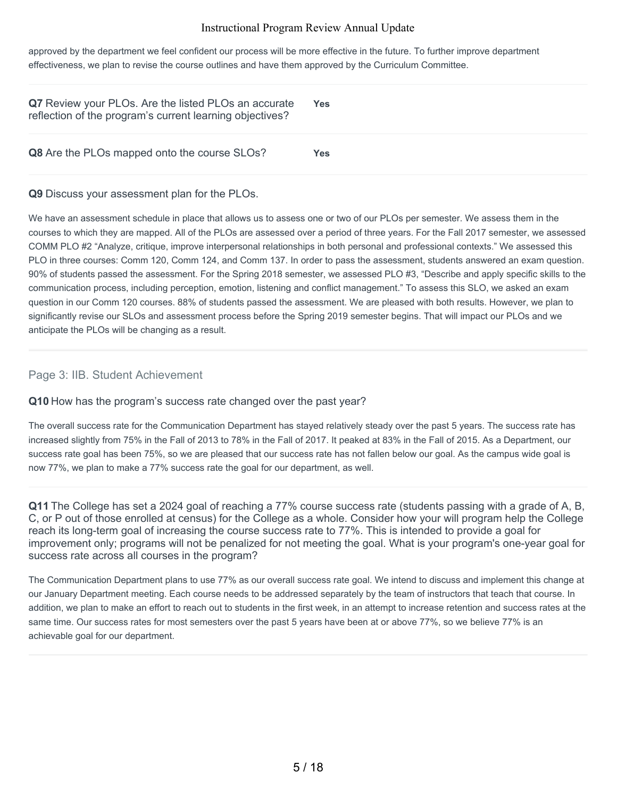approved by the department we feel confident our process will be more effective in the future. To further improve department effectiveness, we plan to revise the course outlines and have them approved by the Curriculum Committee.

| Q7 Review your PLOs. Are the listed PLOs an accurate<br>reflection of the program's current learning objectives? | <b>Yes</b> |
|------------------------------------------------------------------------------------------------------------------|------------|
| <b>Q8</b> Are the PLOs mapped onto the course SLOs?                                                              | Yes        |

#### **Q9** Discuss your assessment plan for the PLOs.

We have an assessment schedule in place that allows us to assess one or two of our PLOs per semester. We assess them in the courses to which they are mapped. All of the PLOs are assessed over a period of three years. For the Fall 2017 semester, we assessed COMM PLO #2 "Analyze, critique, improve interpersonal relationships in both personal and professional contexts." We assessed this PLO in three courses: Comm 120, Comm 124, and Comm 137. In order to pass the assessment, students answered an exam question. 90% of students passed the assessment. For the Spring 2018 semester, we assessed PLO #3, "Describe and apply specific skills to the communication process, including perception, emotion, listening and conflict management." To assess this SLO, we asked an exam question in our Comm 120 courses. 88% of students passed the assessment. We are pleased with both results. However, we plan to significantly revise our SLOs and assessment process before the Spring 2019 semester begins. That will impact our PLOs and we anticipate the PLOs will be changing as a result.

#### Page 3: IIB. Student Achievement

#### **Q10** How has the program's success rate changed over the past year?

The overall success rate for the Communication Department has stayed relatively steady over the past 5 years. The success rate has increased slightly from 75% in the Fall of 2013 to 78% in the Fall of 2017. It peaked at 83% in the Fall of 2015. As a Department, our success rate goal has been 75%, so we are pleased that our success rate has not fallen below our goal. As the campus wide goal is now 77%, we plan to make a 77% success rate the goal for our department, as well.

**Q11** The College has set a 2024 goal of reaching a 77% course success rate (students passing with a grade of A, B, C, or P out of those enrolled at census) for the College as a whole. Consider how your will program help the College reach its long-term goal of increasing the course success rate to 77%. This is intended to provide a goal for improvement only; programs will not be penalized for not meeting the goal. What is your program's one-year goal for success rate across all courses in the program?

The Communication Department plans to use 77% as our overall success rate goal. We intend to discuss and implement this change at our January Department meeting. Each course needs to be addressed separately by the team of instructors that teach that course. In addition, we plan to make an effort to reach out to students in the first week, in an attempt to increase retention and success rates at the same time. Our success rates for most semesters over the past 5 years have been at or above 77%, so we believe 77% is an achievable goal for our department.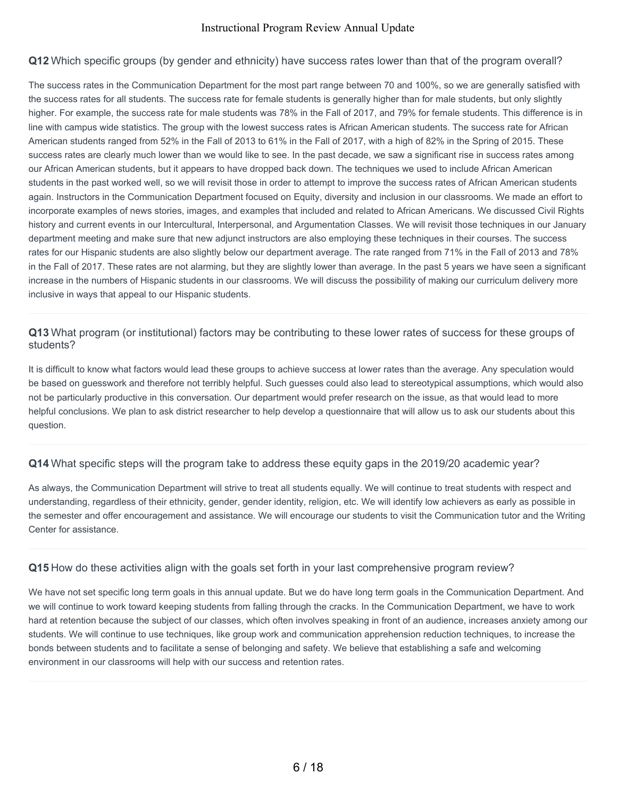#### **Q12** Which specific groups (by gender and ethnicity) have success rates lower than that of the program overall?

The success rates in the Communication Department for the most part range between 70 and 100%, so we are generally satisfied with the success rates for all students. The success rate for female students is generally higher than for male students, but only slightly higher. For example, the success rate for male students was 78% in the Fall of 2017, and 79% for female students. This difference is in line with campus wide statistics. The group with the lowest success rates is African American students. The success rate for African American students ranged from 52% in the Fall of 2013 to 61% in the Fall of 2017, with a high of 82% in the Spring of 2015. These success rates are clearly much lower than we would like to see. In the past decade, we saw a significant rise in success rates among our African American students, but it appears to have dropped back down. The techniques we used to include African American students in the past worked well, so we will revisit those in order to attempt to improve the success rates of African American students again. Instructors in the Communication Department focused on Equity, diversity and inclusion in our classrooms. We made an effort to incorporate examples of news stories, images, and examples that included and related to African Americans. We discussed Civil Rights history and current events in our Intercultural, Interpersonal, and Argumentation Classes. We will revisit those techniques in our January department meeting and make sure that new adjunct instructors are also employing these techniques in their courses. The success rates for our Hispanic students are also slightly below our department average. The rate ranged from 71% in the Fall of 2013 and 78% in the Fall of 2017. These rates are not alarming, but they are slightly lower than average. In the past 5 years we have seen a significant increase in the numbers of Hispanic students in our classrooms. We will discuss the possibility of making our curriculum delivery more inclusive in ways that appeal to our Hispanic students.

#### **Q13** What program (or institutional) factors may be contributing to these lower rates of success for these groups of students?

It is difficult to know what factors would lead these groups to achieve success at lower rates than the average. Any speculation would be based on guesswork and therefore not terribly helpful. Such guesses could also lead to stereotypical assumptions, which would also not be particularly productive in this conversation. Our department would prefer research on the issue, as that would lead to more helpful conclusions. We plan to ask district researcher to help develop a questionnaire that will allow us to ask our students about this question.

#### **Q14** What specific steps will the program take to address these equity gaps in the 2019/20 academic year?

As always, the Communication Department will strive to treat all students equally. We will continue to treat students with respect and understanding, regardless of their ethnicity, gender, gender identity, religion, etc. We will identify low achievers as early as possible in the semester and offer encouragement and assistance. We will encourage our students to visit the Communication tutor and the Writing Center for assistance.

#### **Q15** How do these activities align with the goals set forth in your last comprehensive program review?

We have not set specific long term goals in this annual update. But we do have long term goals in the Communication Department. And we will continue to work toward keeping students from falling through the cracks. In the Communication Department, we have to work hard at retention because the subject of our classes, which often involves speaking in front of an audience, increases anxiety among our students. We will continue to use techniques, like group work and communication apprehension reduction techniques, to increase the bonds between students and to facilitate a sense of belonging and safety. We believe that establishing a safe and welcoming environment in our classrooms will help with our success and retention rates.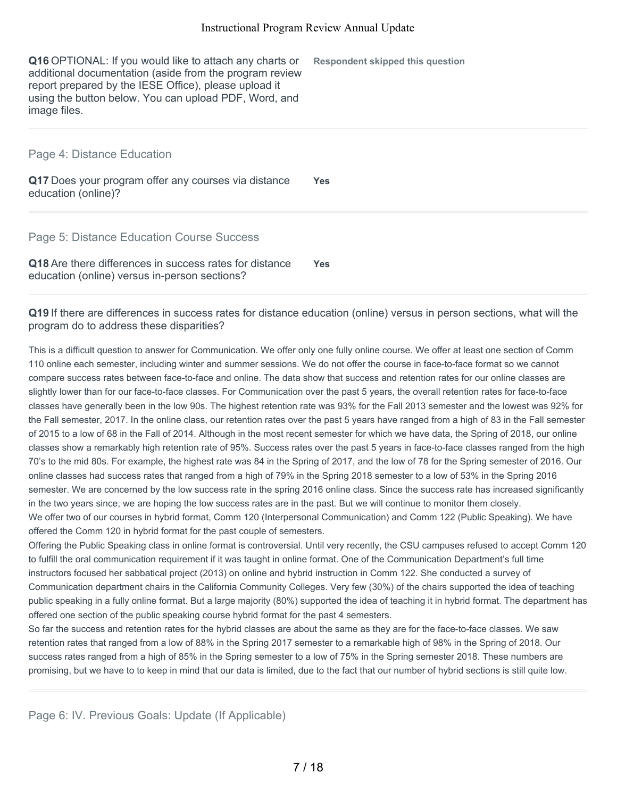**Q16** OPTIONAL: If you would like to attach any charts or additional documentation (aside from the program review report prepared by the IESE Office), please upload it using the button below. You can upload PDF, Word, and image files.

Page 4: Distance Education

**Q17** Does your program offer any courses via distance education (online)? **Yes**

**Respondent skipped this question**

Page 5: Distance Education Course Success

**Q18** Are there differences in success rates for distance education (online) versus in-person sections? **Yes**

**Q19** If there are differences in success rates for distance education (online) versus in person sections, what will the program do to address these disparities?

This is a difficult question to answer for Communication. We offer only one fully online course. We offer at least one section of Comm 110 online each semester, including winter and summer sessions. We do not offer the course in face-to-face format so we cannot compare success rates between face-to-face and online. The data show that success and retention rates for our online classes are slightly lower than for our face-to-face classes. For Communication over the past 5 years, the overall retention rates for face-to-face classes have generally been in the low 90s. The highest retention rate was 93% for the Fall 2013 semester and the lowest was 92% for the Fall semester, 2017. In the online class, our retention rates over the past 5 years have ranged from a high of 83 in the Fall semester of 2015 to a low of 68 in the Fall of 2014. Although in the most recent semester for which we have data, the Spring of 2018, our online classes show a remarkably high retention rate of 95%. Success rates over the past 5 years in face-to-face classes ranged from the high 70's to the mid 80s. For example, the highest rate was 84 in the Spring of 2017, and the low of 78 for the Spring semester of 2016. Our online classes had success rates that ranged from a high of 79% in the Spring 2018 semester to a low of 53% in the Spring 2016 semester. We are concerned by the low success rate in the spring 2016 online class. Since the success rate has increased significantly in the two years since, we are hoping the low success rates are in the past. But we will continue to monitor them closely. We offer two of our courses in hybrid format, Comm 120 (Interpersonal Communication) and Comm 122 (Public Speaking). We have offered the Comm 120 in hybrid format for the past couple of semesters.

Offering the Public Speaking class in online format is controversial. Until very recently, the CSU campuses refused to accept Comm 120 to fulfill the oral communication requirement if it was taught in online format. One of the Communication Department's full time instructors focused her sabbatical project (2013) on online and hybrid instruction in Comm 122. She conducted a survey of Communication department chairs in the California Community Colleges. Very few (30%) of the chairs supported the idea of teaching public speaking in a fully online format. But a large majority (80%) supported the idea of teaching it in hybrid format. The department has offered one section of the public speaking course hybrid format for the past 4 semesters.

So far the success and retention rates for the hybrid classes are about the same as they are for the face-to-face classes. We saw retention rates that ranged from a low of 88% in the Spring 2017 semester to a remarkable high of 98% in the Spring of 2018. Our success rates ranged from a high of 85% in the Spring semester to a low of 75% in the Spring semester 2018. These numbers are promising, but we have to to keep in mind that our data is limited, due to the fact that our number of hybrid sections is still quite low.

Page 6: IV. Previous Goals: Update (If Applicable)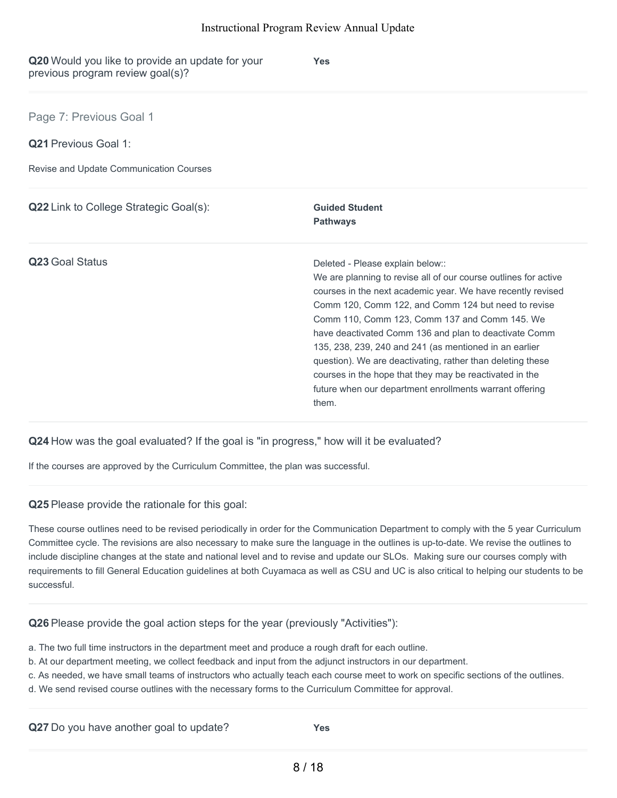| Q20 Would you like to provide an update for your<br>previous program review goal(s)? | <b>Yes</b>                                                                                                                                                                                                                                                                                                                                                                                                                                                                                                                                                                                 |
|--------------------------------------------------------------------------------------|--------------------------------------------------------------------------------------------------------------------------------------------------------------------------------------------------------------------------------------------------------------------------------------------------------------------------------------------------------------------------------------------------------------------------------------------------------------------------------------------------------------------------------------------------------------------------------------------|
| Page 7: Previous Goal 1                                                              |                                                                                                                                                                                                                                                                                                                                                                                                                                                                                                                                                                                            |
| <b>Q21</b> Previous Goal 1:                                                          |                                                                                                                                                                                                                                                                                                                                                                                                                                                                                                                                                                                            |
| Revise and Update Communication Courses                                              |                                                                                                                                                                                                                                                                                                                                                                                                                                                                                                                                                                                            |
| <b>Q22</b> Link to College Strategic Goal(s):                                        | <b>Guided Student</b><br><b>Pathways</b>                                                                                                                                                                                                                                                                                                                                                                                                                                                                                                                                                   |
| Q23 Goal Status                                                                      | Deleted - Please explain below::<br>We are planning to revise all of our course outlines for active<br>courses in the next academic year. We have recently revised<br>Comm 120, Comm 122, and Comm 124 but need to revise<br>Comm 110, Comm 123, Comm 137 and Comm 145. We<br>have deactivated Comm 136 and plan to deactivate Comm<br>135, 238, 239, 240 and 241 (as mentioned in an earlier<br>question). We are deactivating, rather than deleting these<br>courses in the hope that they may be reactivated in the<br>future when our department enrollments warrant offering<br>them. |

**Q24** How was the goal evaluated? If the goal is "in progress," how will it be evaluated?

If the courses are approved by the Curriculum Committee, the plan was successful.

**Q25** Please provide the rationale for this goal:

These course outlines need to be revised periodically in order for the Communication Department to comply with the 5 year Curriculum Committee cycle. The revisions are also necessary to make sure the language in the outlines is up-to-date. We revise the outlines to include discipline changes at the state and national level and to revise and update our SLOs. Making sure our courses comply with requirements to fill General Education guidelines at both Cuyamaca as well as CSU and UC is also critical to helping our students to be successful.

**Q26** Please provide the goal action steps for the year (previously "Activities"):

- a. The two full time instructors in the department meet and produce a rough draft for each outline.
- b. At our department meeting, we collect feedback and input from the adjunct instructors in our department.
- c. As needed, we have small teams of instructors who actually teach each course meet to work on specific sections of the outlines.
- d. We send revised course outlines with the necessary forms to the Curriculum Committee for approval.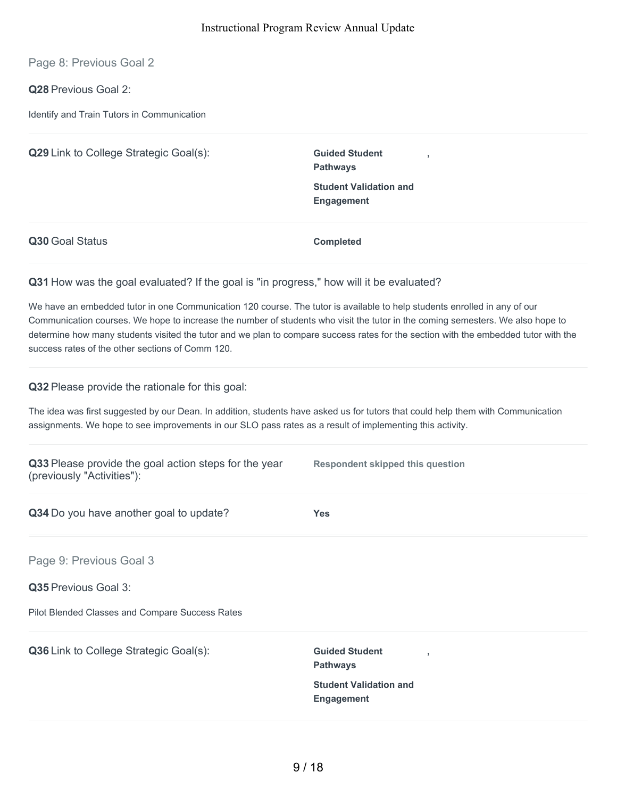Page 8: Previous Goal 2

**Q28** Previous Goal 2:

Identify and Train Tutors in Communication

| Q29 Link to College Strategic Goal(s): | <b>Guided Student</b><br><b>Pathways</b>           |
|----------------------------------------|----------------------------------------------------|
|                                        | <b>Student Validation and</b><br><b>Engagement</b> |
| Q30 Goal Status                        | <b>Completed</b>                                   |

#### **Q31** How was the goal evaluated? If the goal is "in progress," how will it be evaluated?

We have an embedded tutor in one Communication 120 course. The tutor is available to help students enrolled in any of our Communication courses. We hope to increase the number of students who visit the tutor in the coming semesters. We also hope to determine how many students visited the tutor and we plan to compare success rates for the section with the embedded tutor with the success rates of the other sections of Comm 120.

**Q32** Please provide the rationale for this goal:

The idea was first suggested by our Dean. In addition, students have asked us for tutors that could help them with Communication assignments. We hope to see improvements in our SLO pass rates as a result of implementing this activity.

| Q33 Please provide the goal action steps for the year<br>(previously "Activities"): | <b>Respondent skipped this question</b>                              |
|-------------------------------------------------------------------------------------|----------------------------------------------------------------------|
| Q34 Do you have another goal to update?                                             | <b>Yes</b>                                                           |
| Page 9: Previous Goal 3                                                             |                                                                      |
| <b>Q35</b> Previous Goal 3:                                                         |                                                                      |
| Pilot Blended Classes and Compare Success Rates                                     |                                                                      |
| Q36 Link to College Strategic Goal(s):                                              | <b>Guided Student</b><br>$\overline{\phantom{a}}$<br><b>Pathways</b> |
|                                                                                     | <b>Student Validation and</b><br><b>Engagement</b>                   |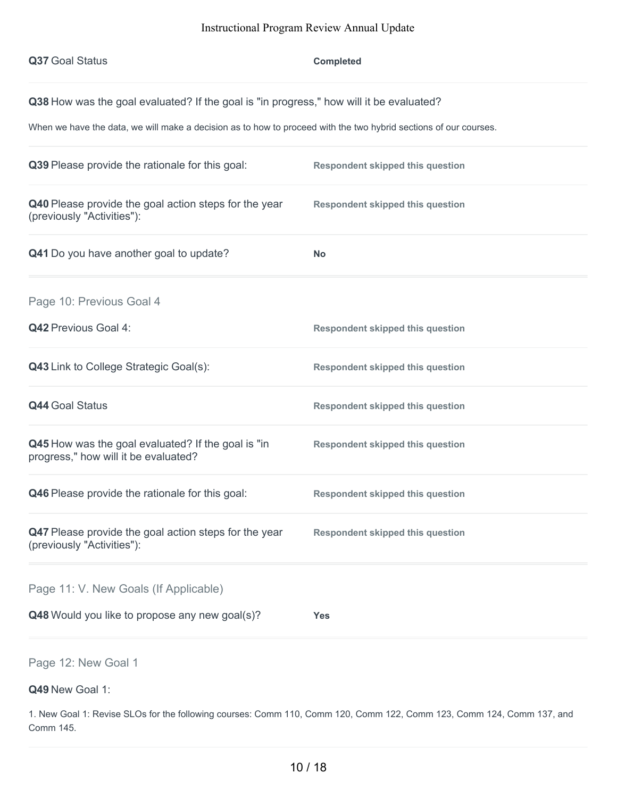| Q37 Goal Status                                                                                                                                                                                             | <b>Completed</b>                        |
|-------------------------------------------------------------------------------------------------------------------------------------------------------------------------------------------------------------|-----------------------------------------|
| Q38 How was the goal evaluated? If the goal is "in progress," how will it be evaluated?<br>When we have the data, we will make a decision as to how to proceed with the two hybrid sections of our courses. |                                         |
| Q39 Please provide the rationale for this goal:                                                                                                                                                             | <b>Respondent skipped this question</b> |
| Q40 Please provide the goal action steps for the year<br>(previously "Activities"):                                                                                                                         | <b>Respondent skipped this question</b> |
| Q41 Do you have another goal to update?                                                                                                                                                                     | <b>No</b>                               |
| Page 10: Previous Goal 4                                                                                                                                                                                    |                                         |
| Q42 Previous Goal 4:                                                                                                                                                                                        | <b>Respondent skipped this question</b> |
| Q43 Link to College Strategic Goal(s):                                                                                                                                                                      | <b>Respondent skipped this question</b> |
| <b>Q44 Goal Status</b>                                                                                                                                                                                      | <b>Respondent skipped this question</b> |
| Q45 How was the goal evaluated? If the goal is "in<br>progress," how will it be evaluated?                                                                                                                  | <b>Respondent skipped this question</b> |
| <b>Q46</b> Please provide the rationale for this goal:                                                                                                                                                      | <b>Respondent skipped this question</b> |
| Q47 Please provide the goal action steps for the year<br>(previously "Activities"):                                                                                                                         | <b>Respondent skipped this question</b> |
| Page 11: V. New Goals (If Applicable)                                                                                                                                                                       |                                         |
| Q48 Would you like to propose any new goal(s)?                                                                                                                                                              | <b>Yes</b>                              |
|                                                                                                                                                                                                             |                                         |

Page 12: New Goal 1

## **Q49** New Goal 1:

1. New Goal 1: Revise SLOs for the following courses: Comm 110, Comm 120, Comm 122, Comm 123, Comm 124, Comm 137, and Comm 145.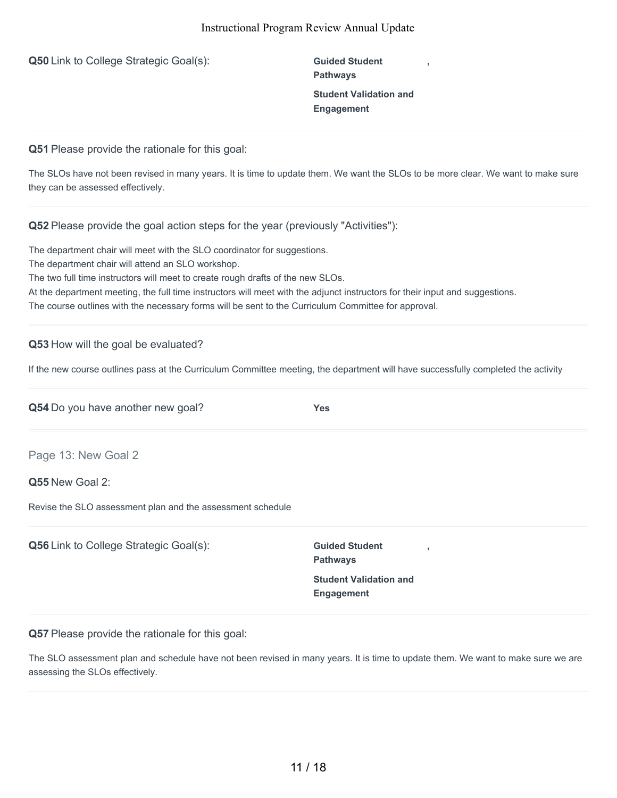**Q50** Link to College Strategic Goal(s): **Guided Student** 

**Pathways Student Validation and Engagement**

**,**

**Q51** Please provide the rationale for this goal:

The SLOs have not been revised in many years. It is time to update them. We want the SLOs to be more clear. We want to make sure they can be assessed effectively.

**Q52** Please provide the goal action steps for the year (previously "Activities"):

The department chair will meet with the SLO coordinator for suggestions.

The department chair will attend an SLO workshop.

The two full time instructors will meet to create rough drafts of the new SLOs.

At the department meeting, the full time instructors will meet with the adjunct instructors for their input and suggestions.

The course outlines with the necessary forms will be sent to the Curriculum Committee for approval.

#### **Q53** How will the goal be evaluated?

If the new course outlines pass at the Curriculum Committee meeting, the department will have successfully completed the activity

| Q54 Do you have another new goal?                          | <b>Yes</b>                               |  |
|------------------------------------------------------------|------------------------------------------|--|
| Page 13: New Goal 2                                        |                                          |  |
| Q55 New Goal 2:                                            |                                          |  |
| Revise the SLO assessment plan and the assessment schedule |                                          |  |
| <b>Q56</b> Link to College Strategic Goal(s):              | <b>Guided Student</b><br><b>Pathways</b> |  |
|                                                            | <b>Student Validation and</b>            |  |

**Q57** Please provide the rationale for this goal:

The SLO assessment plan and schedule have not been revised in many years. It is time to update them. We want to make sure we are assessing the SLOs effectively.

**Engagement**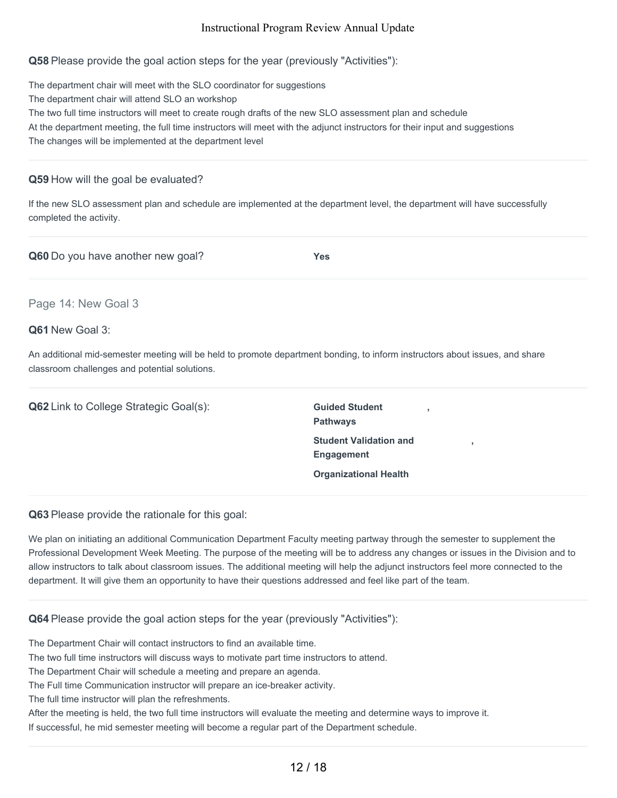**Q58** Please provide the goal action steps for the year (previously "Activities"):

The department chair will meet with the SLO coordinator for suggestions The department chair will attend SLO an workshop The two full time instructors will meet to create rough drafts of the new SLO assessment plan and schedule At the department meeting, the full time instructors will meet with the adjunct instructors for their input and suggestions The changes will be implemented at the department level

#### **Q59** How will the goal be evaluated?

If the new SLO assessment plan and schedule are implemented at the department level, the department will have successfully completed the activity.

**Q60** Do you have another new goal? **Yes**

#### Page 14: New Goal 3

#### **Q61** New Goal 3:

An additional mid-semester meeting will be held to promote department bonding, to inform instructors about issues, and share classroom challenges and potential solutions.

**Q62** Link to College Strategic Goal(s): **Guided Student** 

**Pathways Student Validation and Engagement Organizational Health**

**,**

**,**

**Q63** Please provide the rationale for this goal:

We plan on initiating an additional Communication Department Faculty meeting partway through the semester to supplement the Professional Development Week Meeting. The purpose of the meeting will be to address any changes or issues in the Division and to allow instructors to talk about classroom issues. The additional meeting will help the adjunct instructors feel more connected to the department. It will give them an opportunity to have their questions addressed and feel like part of the team.

#### **Q64** Please provide the goal action steps for the year (previously "Activities"):

The Department Chair will contact instructors to find an available time.

The two full time instructors will discuss ways to motivate part time instructors to attend.

The Department Chair will schedule a meeting and prepare an agenda.

The Full time Communication instructor will prepare an ice-breaker activity.

The full time instructor will plan the refreshments.

After the meeting is held, the two full time instructors will evaluate the meeting and determine ways to improve it.

If successful, he mid semester meeting will become a regular part of the Department schedule.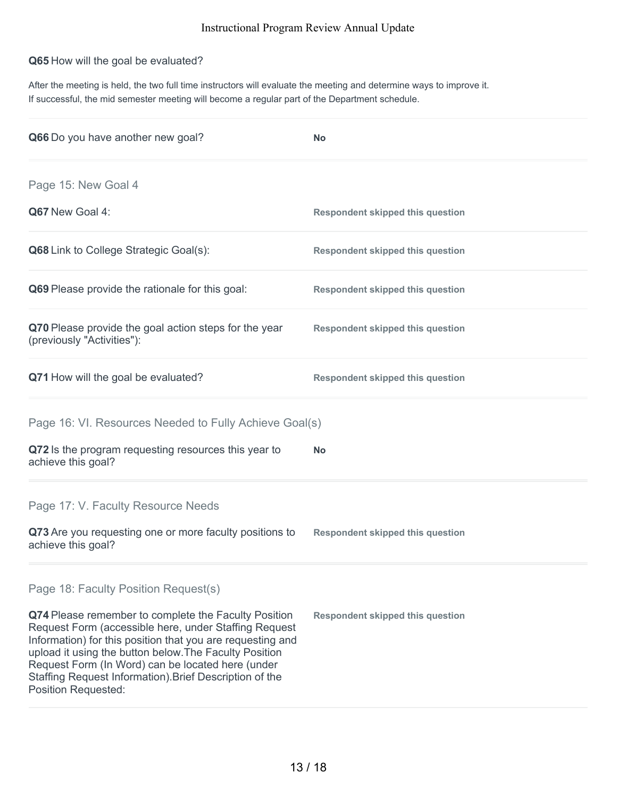#### **Q65** How will the goal be evaluated?

After the meeting is held, the two full time instructors will evaluate the meeting and determine ways to improve it. If successful, the mid semester meeting will become a regular part of the Department schedule.

| Q66 Do you have another new goal?                                                                                                                                                                                                                                                                                                                                                   | <b>No</b>                               |
|-------------------------------------------------------------------------------------------------------------------------------------------------------------------------------------------------------------------------------------------------------------------------------------------------------------------------------------------------------------------------------------|-----------------------------------------|
| Page 15: New Goal 4                                                                                                                                                                                                                                                                                                                                                                 |                                         |
| Q67 New Goal 4:                                                                                                                                                                                                                                                                                                                                                                     | <b>Respondent skipped this question</b> |
| <b>Q68</b> Link to College Strategic Goal(s):                                                                                                                                                                                                                                                                                                                                       | <b>Respondent skipped this question</b> |
| <b>Q69</b> Please provide the rationale for this goal:                                                                                                                                                                                                                                                                                                                              | <b>Respondent skipped this question</b> |
| Q70 Please provide the goal action steps for the year<br>(previously "Activities"):                                                                                                                                                                                                                                                                                                 | <b>Respondent skipped this question</b> |
| Q71 How will the goal be evaluated?                                                                                                                                                                                                                                                                                                                                                 | <b>Respondent skipped this question</b> |
| Page 16: VI. Resources Needed to Fully Achieve Goal(s)                                                                                                                                                                                                                                                                                                                              |                                         |
| Q72 Is the program requesting resources this year to<br>achieve this goal?                                                                                                                                                                                                                                                                                                          | <b>No</b>                               |
| Page 17: V. Faculty Resource Needs                                                                                                                                                                                                                                                                                                                                                  |                                         |
| Q73 Are you requesting one or more faculty positions to<br>achieve this goal?                                                                                                                                                                                                                                                                                                       | <b>Respondent skipped this question</b> |
| Page 18: Faculty Position Request(s)                                                                                                                                                                                                                                                                                                                                                |                                         |
| Q74 Please remember to complete the Faculty Position<br>Request Form (accessible here, under Staffing Request<br>Information) for this position that you are requesting and<br>upload it using the button below. The Faculty Position<br>Request Form (In Word) can be located here (under<br>Staffing Request Information). Brief Description of the<br><b>Position Requested:</b> | <b>Respondent skipped this question</b> |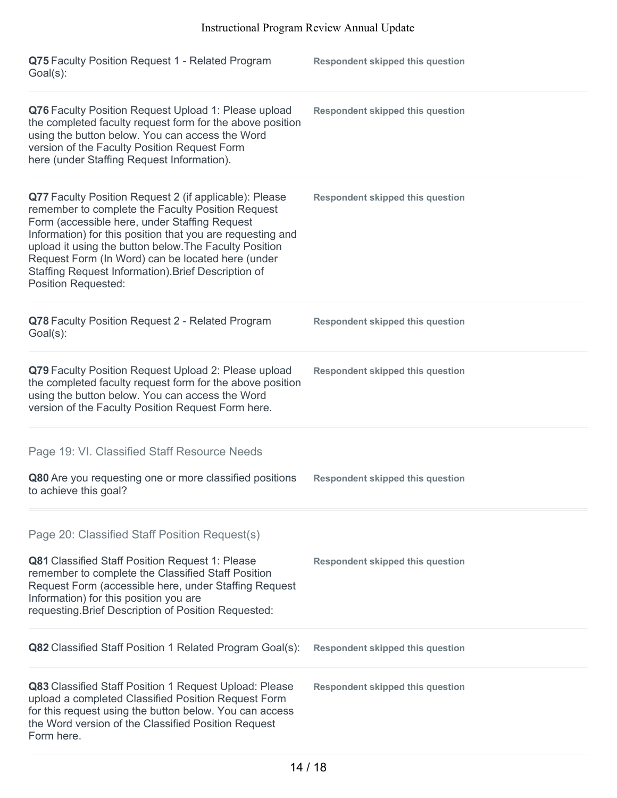| Q75 Faculty Position Request 1 - Related Program<br>Goal(s):                                                                                                                                                                                                                                                                                                                                                                   | <b>Respondent skipped this question</b> |
|--------------------------------------------------------------------------------------------------------------------------------------------------------------------------------------------------------------------------------------------------------------------------------------------------------------------------------------------------------------------------------------------------------------------------------|-----------------------------------------|
| Q76 Faculty Position Request Upload 1: Please upload<br>the completed faculty request form for the above position<br>using the button below. You can access the Word<br>version of the Faculty Position Request Form<br>here (under Staffing Request Information).                                                                                                                                                             | <b>Respondent skipped this question</b> |
| Q77 Faculty Position Request 2 (if applicable): Please<br>remember to complete the Faculty Position Request<br>Form (accessible here, under Staffing Request<br>Information) for this position that you are requesting and<br>upload it using the button below. The Faculty Position<br>Request Form (In Word) can be located here (under<br>Staffing Request Information). Brief Description of<br><b>Position Requested:</b> | <b>Respondent skipped this question</b> |
| Q78 Faculty Position Request 2 - Related Program<br>Goal(s):                                                                                                                                                                                                                                                                                                                                                                   | <b>Respondent skipped this question</b> |
| Q79 Faculty Position Request Upload 2: Please upload<br>the completed faculty request form for the above position<br>using the button below. You can access the Word<br>version of the Faculty Position Request Form here.                                                                                                                                                                                                     | <b>Respondent skipped this question</b> |
| Page 19: VI. Classified Staff Resource Needs                                                                                                                                                                                                                                                                                                                                                                                   |                                         |
| Q80 Are you requesting one or more classified positions<br>to achieve this goal?                                                                                                                                                                                                                                                                                                                                               | <b>Respondent skipped this question</b> |
| Page 20: Classified Staff Position Request(s)<br><b>Q81</b> Classified Staff Position Request 1: Please<br>remember to complete the Classified Staff Position<br>Request Form (accessible here, under Staffing Request<br>Information) for this position you are<br>requesting. Brief Description of Position Requested:                                                                                                       | <b>Respondent skipped this question</b> |
| <b>Q82</b> Classified Staff Position 1 Related Program Goal(s):                                                                                                                                                                                                                                                                                                                                                                | <b>Respondent skipped this question</b> |
| Q83 Classified Staff Position 1 Request Upload: Please<br>upload a completed Classified Position Request Form<br>for this request using the button below. You can access<br>the Word version of the Classified Position Request<br>Form here.                                                                                                                                                                                  | <b>Respondent skipped this question</b> |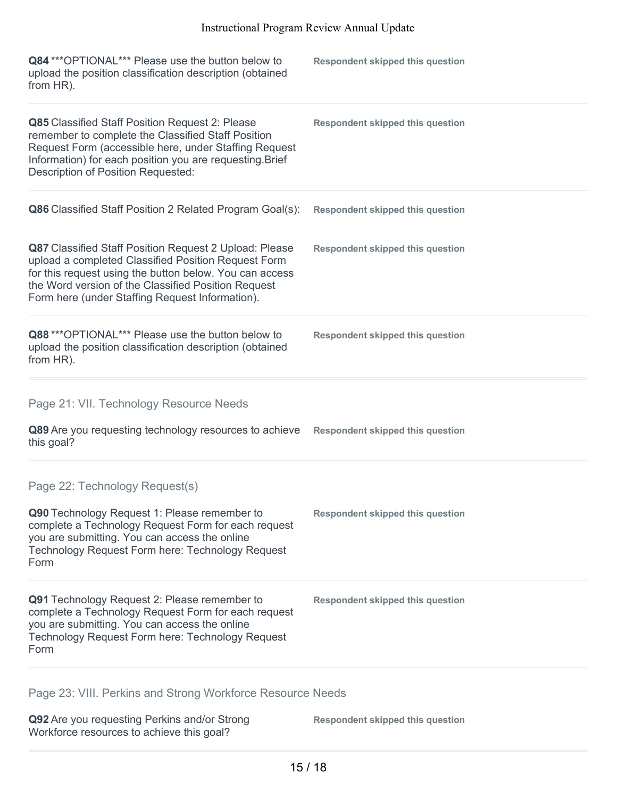| Q84 *** OPTIONAL*** Please use the button below to<br>upload the position classification description (obtained<br>from HR).                                                                                                                                                               | <b>Respondent skipped this question</b> |
|-------------------------------------------------------------------------------------------------------------------------------------------------------------------------------------------------------------------------------------------------------------------------------------------|-----------------------------------------|
| Q85 Classified Staff Position Request 2: Please<br>remember to complete the Classified Staff Position<br>Request Form (accessible here, under Staffing Request<br>Information) for each position you are requesting. Brief<br><b>Description of Position Requested:</b>                   | <b>Respondent skipped this question</b> |
| Q86 Classified Staff Position 2 Related Program Goal(s):                                                                                                                                                                                                                                  | <b>Respondent skipped this question</b> |
| <b>Q87</b> Classified Staff Position Request 2 Upload: Please<br>upload a completed Classified Position Request Form<br>for this request using the button below. You can access<br>the Word version of the Classified Position Request<br>Form here (under Staffing Request Information). | <b>Respondent skipped this question</b> |
| Q88 *** OPTIONAL*** Please use the button below to<br>upload the position classification description (obtained<br>from HR).                                                                                                                                                               | <b>Respondent skipped this question</b> |
| Page 21: VII. Technology Resource Needs                                                                                                                                                                                                                                                   |                                         |
| Q89 Are you requesting technology resources to achieve<br>this goal?                                                                                                                                                                                                                      | <b>Respondent skipped this question</b> |
| Page 22: Technology Request(s)                                                                                                                                                                                                                                                            |                                         |
| Q90 Technology Request 1: Please remember to<br>complete a Technology Request Form for each request<br>you are submitting. You can access the online<br>Technology Request Form here: Technology Request<br>Form                                                                          | <b>Respondent skipped this question</b> |
| Q91 Technology Request 2: Please remember to<br>complete a Technology Request Form for each request<br>you are submitting. You can access the online<br>Technology Request Form here: Technology Request<br>Form                                                                          | <b>Respondent skipped this question</b> |
|                                                                                                                                                                                                                                                                                           |                                         |

Page 23: VIII. Perkins and Strong Workforce Resource Needs

**Q92** Are you requesting Perkins and/or Strong Workforce resources to achieve this goal?

**Respondent skipped this question**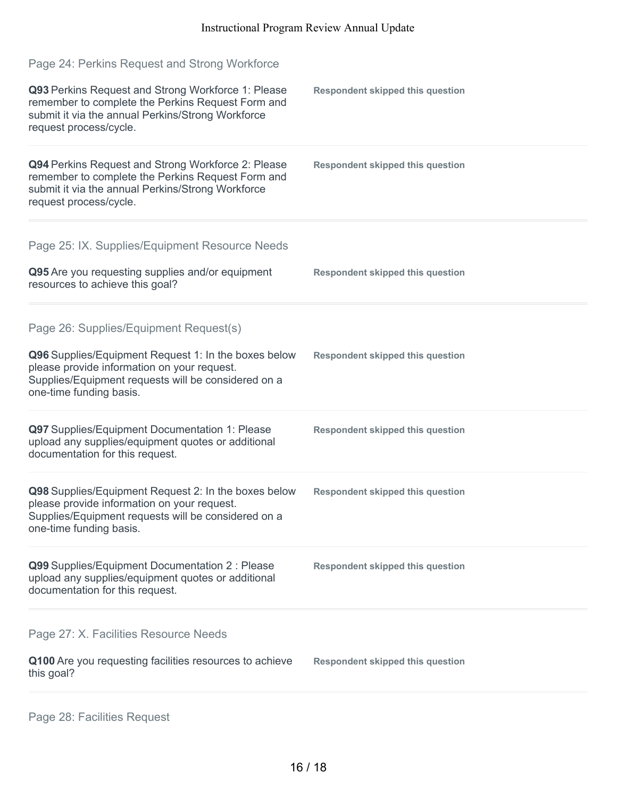| Page 24: Perkins Request and Strong Workforce                                                                                                                                                                                   |                                         |
|---------------------------------------------------------------------------------------------------------------------------------------------------------------------------------------------------------------------------------|-----------------------------------------|
| Q93 Perkins Request and Strong Workforce 1: Please<br>remember to complete the Perkins Request Form and<br>submit it via the annual Perkins/Strong Workforce<br>request process/cycle.                                          | <b>Respondent skipped this question</b> |
| Q94 Perkins Request and Strong Workforce 2: Please<br>remember to complete the Perkins Request Form and<br>submit it via the annual Perkins/Strong Workforce<br>request process/cycle.                                          | <b>Respondent skipped this question</b> |
| Page 25: IX. Supplies/Equipment Resource Needs<br>Q95 Are you requesting supplies and/or equipment<br>resources to achieve this goal?                                                                                           | <b>Respondent skipped this question</b> |
| Page 26: Supplies/Equipment Request(s)<br>Q96 Supplies/Equipment Request 1: In the boxes below<br>please provide information on your request.<br>Supplies/Equipment requests will be considered on a<br>one-time funding basis. | <b>Respondent skipped this question</b> |
| Q97 Supplies/Equipment Documentation 1: Please<br>upload any supplies/equipment quotes or additional<br>documentation for this request.                                                                                         | <b>Respondent skipped this question</b> |
| Q98 Supplies/Equipment Request 2: In the boxes below<br>please provide information on your request.<br>Supplies/Equipment requests will be considered on a<br>one-time funding basis.                                           | <b>Respondent skipped this question</b> |
| Q99 Supplies/Equipment Documentation 2 : Please<br>upload any supplies/equipment quotes or additional<br>documentation for this request.                                                                                        | <b>Respondent skipped this question</b> |
| Page 27: X. Facilities Resource Needs<br>Q100 Are you requesting facilities resources to achieve<br>this goal?                                                                                                                  | <b>Respondent skipped this question</b> |
|                                                                                                                                                                                                                                 |                                         |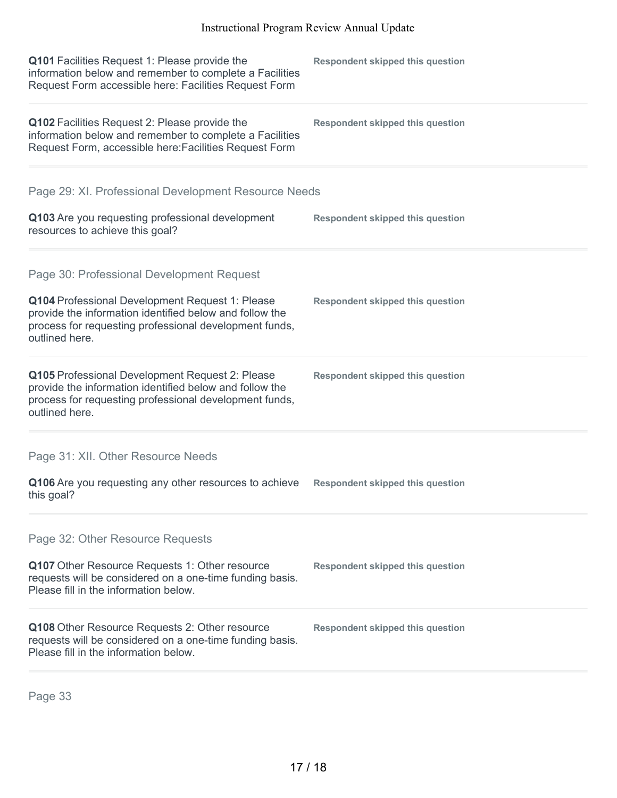| Q101 Facilities Request 1: Please provide the<br>information below and remember to complete a Facilities<br>Request Form accessible here: Facilities Request Form                      | <b>Respondent skipped this question</b> |
|----------------------------------------------------------------------------------------------------------------------------------------------------------------------------------------|-----------------------------------------|
| Q102 Facilities Request 2: Please provide the<br>information below and remember to complete a Facilities<br>Request Form, accessible here: Facilities Request Form                     | <b>Respondent skipped this question</b> |
| Page 29: XI. Professional Development Resource Needs                                                                                                                                   |                                         |
| Q103 Are you requesting professional development<br>resources to achieve this goal?                                                                                                    | <b>Respondent skipped this question</b> |
| Page 30: Professional Development Request                                                                                                                                              |                                         |
| Q104 Professional Development Request 1: Please<br>provide the information identified below and follow the<br>process for requesting professional development funds,<br>outlined here. | <b>Respondent skipped this question</b> |
| Q105 Professional Development Request 2: Please<br>provide the information identified below and follow the<br>process for requesting professional development funds,<br>outlined here. | <b>Respondent skipped this question</b> |
| Page 31: XII. Other Resource Needs                                                                                                                                                     |                                         |
| Q106 Are you requesting any other resources to achieve<br>this goal?                                                                                                                   | <b>Respondent skipped this question</b> |
| Page 32: Other Resource Requests                                                                                                                                                       |                                         |
| Q107 Other Resource Requests 1: Other resource<br>requests will be considered on a one-time funding basis.<br>Please fill in the information below.                                    | <b>Respondent skipped this question</b> |
| Q108 Other Resource Requests 2: Other resource<br>requests will be considered on a one-time funding basis.<br>Please fill in the information below.                                    | <b>Respondent skipped this question</b> |